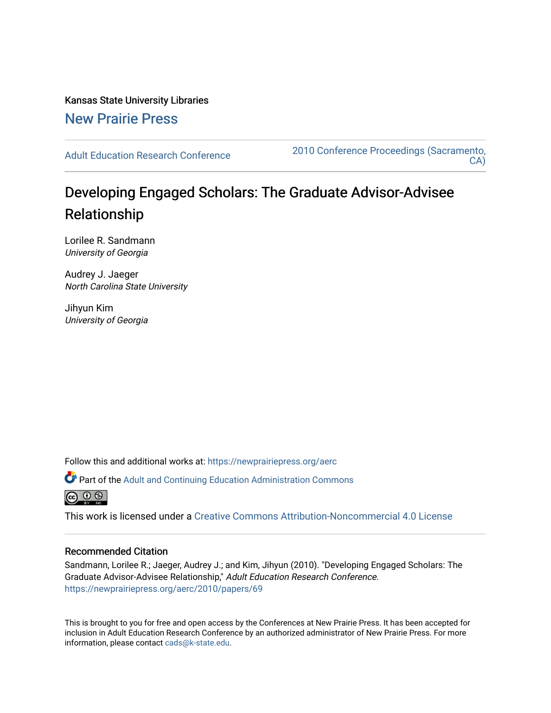Kansas State University Libraries [New Prairie Press](https://newprairiepress.org/) 

[Adult Education Research Conference](https://newprairiepress.org/aerc) [2010 Conference Proceedings \(Sacramento,](https://newprairiepress.org/aerc/2010)  [CA\)](https://newprairiepress.org/aerc/2010) 

# Developing Engaged Scholars: The Graduate Advisor-Advisee Relationship

Lorilee R. Sandmann University of Georgia

Audrey J. Jaeger North Carolina State University

Jihyun Kim University of Georgia

Follow this and additional works at: [https://newprairiepress.org/aerc](https://newprairiepress.org/aerc?utm_source=newprairiepress.org%2Faerc%2F2010%2Fpapers%2F69&utm_medium=PDF&utm_campaign=PDFCoverPages)

Part of the [Adult and Continuing Education Administration Commons](http://network.bepress.com/hgg/discipline/789?utm_source=newprairiepress.org%2Faerc%2F2010%2Fpapers%2F69&utm_medium=PDF&utm_campaign=PDFCoverPages)



This work is licensed under a [Creative Commons Attribution-Noncommercial 4.0 License](https://creativecommons.org/licenses/by-nc/4.0/)

# Recommended Citation

Sandmann, Lorilee R.; Jaeger, Audrey J.; and Kim, Jihyun (2010). "Developing Engaged Scholars: The Graduate Advisor-Advisee Relationship," Adult Education Research Conference. <https://newprairiepress.org/aerc/2010/papers/69>

This is brought to you for free and open access by the Conferences at New Prairie Press. It has been accepted for inclusion in Adult Education Research Conference by an authorized administrator of New Prairie Press. For more information, please contact [cads@k-state.edu](mailto:cads@k-state.edu).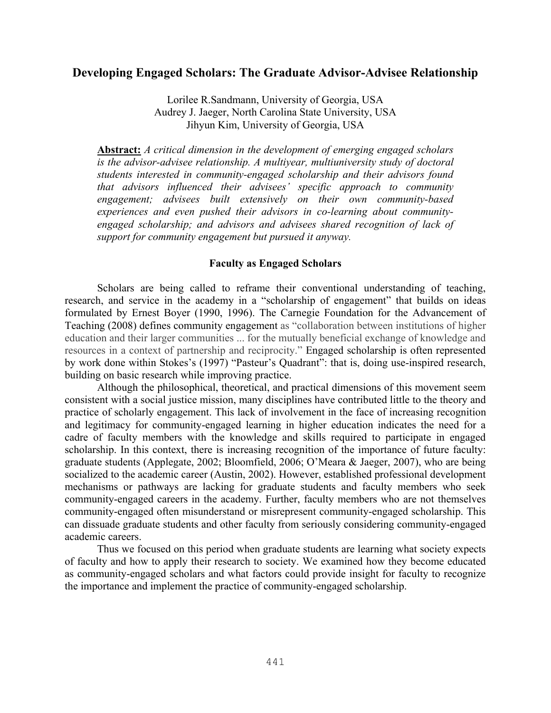# **Developing Engaged Scholars: The Graduate Advisor-Advisee Relationship**

Lorilee R.Sandmann, University of Georgia, USA Audrey J. Jaeger, North Carolina State University, USA Jihyun Kim, University of Georgia, USA

**Abstract:** *A critical dimension in the development of emerging engaged scholars is the advisor-advisee relationship. A multiyear, multiuniversity study of doctoral students interested in community-engaged scholarship and their advisors found that advisors influenced their advisees' specific approach to community engagement; advisees built extensively on their own community-based experiences and even pushed their advisors in co-learning about communityengaged scholarship; and advisors and advisees shared recognition of lack of support for community engagement but pursued it anyway.*

# **Faculty as Engaged Scholars**

Scholars are being called to reframe their conventional understanding of teaching, research, and service in the academy in a "scholarship of engagement" that builds on ideas formulated by Ernest Boyer (1990, 1996). The Carnegie Foundation for the Advancement of Teaching (2008) defines community engagement as "collaboration between institutions of higher education and their larger communities ... for the mutually beneficial exchange of knowledge and resources in a context of partnership and reciprocity." Engaged scholarship is often represented by work done within Stokes's (1997) "Pasteur's Quadrant": that is, doing use-inspired research, building on basic research while improving practice.

Although the philosophical, theoretical, and practical dimensions of this movement seem consistent with a social justice mission, many disciplines have contributed little to the theory and practice of scholarly engagement. This lack of involvement in the face of increasing recognition and legitimacy for community-engaged learning in higher education indicates the need for a cadre of faculty members with the knowledge and skills required to participate in engaged scholarship. In this context, there is increasing recognition of the importance of future faculty: graduate students (Applegate, 2002; Bloomfield, 2006; O'Meara & Jaeger, 2007), who are being socialized to the academic career (Austin, 2002). However, established professional development mechanisms or pathways are lacking for graduate students and faculty members who seek community-engaged careers in the academy. Further, faculty members who are not themselves community-engaged often misunderstand or misrepresent community-engaged scholarship. This can dissuade graduate students and other faculty from seriously considering community-engaged academic careers.

Thus we focused on this period when graduate students are learning what society expects of faculty and how to apply their research to society. We examined how they become educated as community-engaged scholars and what factors could provide insight for faculty to recognize the importance and implement the practice of community-engaged scholarship.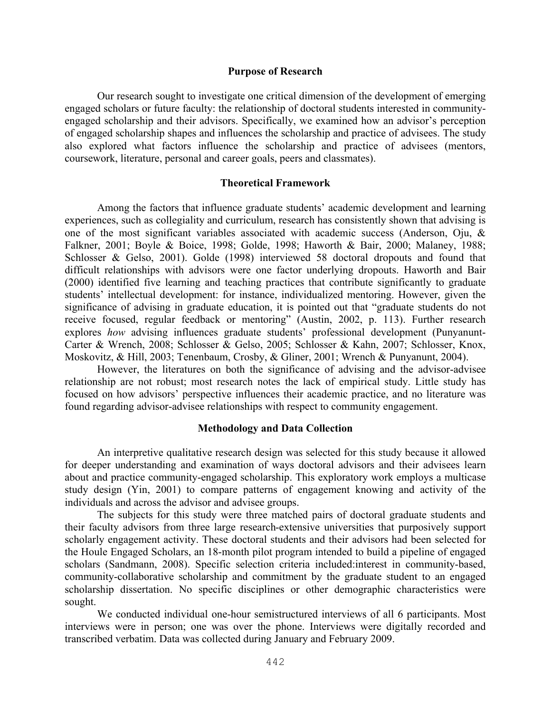## **Purpose of Research**

Our research sought to investigate one critical dimension of the development of emerging engaged scholars or future faculty: the relationship of doctoral students interested in communityengaged scholarship and their advisors. Specifically, we examined how an advisor's perception of engaged scholarship shapes and influences the scholarship and practice of advisees. The study also explored what factors influence the scholarship and practice of advisees (mentors, coursework, literature, personal and career goals, peers and classmates).

# **Theoretical Framework**

Among the factors that influence graduate students' academic development and learning experiences, such as collegiality and curriculum, research has consistently shown that advising is one of the most significant variables associated with academic success (Anderson, Oju, & Falkner, 2001; Boyle & Boice, 1998; Golde, 1998; Haworth & Bair, 2000; Malaney, 1988; Schlosser & Gelso, 2001). Golde (1998) interviewed 58 doctoral dropouts and found that difficult relationships with advisors were one factor underlying dropouts. Haworth and Bair (2000) identified five learning and teaching practices that contribute significantly to graduate students' intellectual development: for instance, individualized mentoring. However, given the significance of advising in graduate education, it is pointed out that "graduate students do not receive focused, regular feedback or mentoring" (Austin, 2002, p. 113). Further research explores *how* advising influences graduate students' professional development (Punyanunt-Carter & Wrench, 2008; Schlosser & Gelso, 2005; Schlosser & Kahn, 2007; Schlosser, Knox, Moskovitz, & Hill, 2003; Tenenbaum, Crosby, & Gliner, 2001; Wrench & Punyanunt, 2004).

However, the literatures on both the significance of advising and the advisor-advisee relationship are not robust; most research notes the lack of empirical study. Little study has focused on how advisors' perspective influences their academic practice, and no literature was found regarding advisor-advisee relationships with respect to community engagement.

# **Methodology and Data Collection**

An interpretive qualitative research design was selected for this study because it allowed for deeper understanding and examination of ways doctoral advisors and their advisees learn about and practice community-engaged scholarship. This exploratory work employs a multicase study design (Yin, 2001) to compare patterns of engagement knowing and activity of the individuals and across the advisor and advisee groups.

The subjects for this study were three matched pairs of doctoral graduate students and their faculty advisors from three large research-extensive universities that purposively support scholarly engagement activity. These doctoral students and their advisors had been selected for the Houle Engaged Scholars, an 18-month pilot program intended to build a pipeline of engaged scholars (Sandmann, 2008). Specific selection criteria included:interest in community-based, community-collaborative scholarship and commitment by the graduate student to an engaged scholarship dissertation. No specific disciplines or other demographic characteristics were sought.

We conducted individual one-hour semistructured interviews of all 6 participants. Most interviews were in person; one was over the phone. Interviews were digitally recorded and transcribed verbatim. Data was collected during January and February 2009.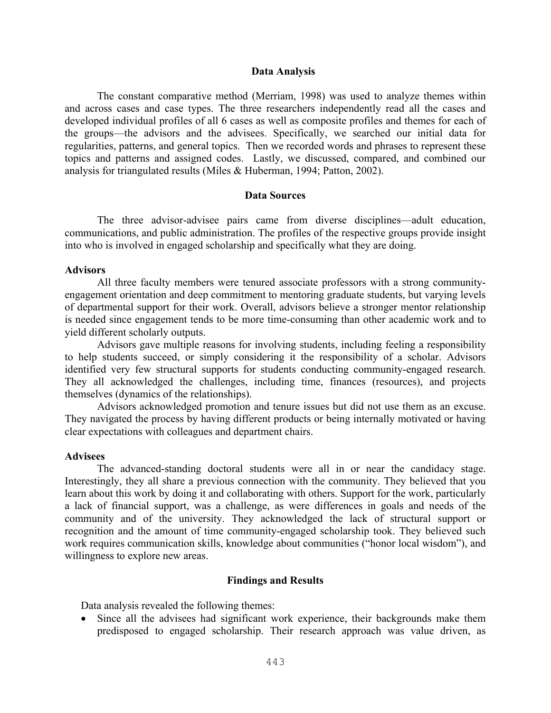#### **Data Analysis**

The constant comparative method (Merriam, 1998) was used to analyze themes within and across cases and case types. The three researchers independently read all the cases and developed individual profiles of all 6 cases as well as composite profiles and themes for each of the groups—the advisors and the advisees. Specifically, we searched our initial data for regularities, patterns, and general topics. Then we recorded words and phrases to represent these topics and patterns and assigned codes. Lastly, we discussed, compared, and combined our analysis for triangulated results (Miles & Huberman, 1994; Patton, 2002).

## **Data Sources**

The three advisor-advisee pairs came from diverse disciplines—adult education, communications, and public administration. The profiles of the respective groups provide insight into who is involved in engaged scholarship and specifically what they are doing.

## **Advisors**

All three faculty members were tenured associate professors with a strong communityengagement orientation and deep commitment to mentoring graduate students, but varying levels of departmental support for their work. Overall, advisors believe a stronger mentor relationship is needed since engagement tends to be more time-consuming than other academic work and to yield different scholarly outputs.

Advisors gave multiple reasons for involving students, including feeling a responsibility to help students succeed, or simply considering it the responsibility of a scholar. Advisors identified very few structural supports for students conducting community-engaged research. They all acknowledged the challenges, including time, finances (resources), and projects themselves (dynamics of the relationships).

Advisors acknowledged promotion and tenure issues but did not use them as an excuse. They navigated the process by having different products or being internally motivated or having clear expectations with colleagues and department chairs.

#### **Advisees**

The advanced-standing doctoral students were all in or near the candidacy stage. Interestingly, they all share a previous connection with the community. They believed that you learn about this work by doing it and collaborating with others. Support for the work, particularly a lack of financial support, was a challenge, as were differences in goals and needs of the community and of the university. They acknowledged the lack of structural support or recognition and the amount of time community-engaged scholarship took. They believed such work requires communication skills, knowledge about communities ("honor local wisdom"), and willingness to explore new areas.

# **Findings and Results**

Data analysis revealed the following themes:

! Since all the advisees had significant work experience, their backgrounds make them predisposed to engaged scholarship. Their research approach was value driven, as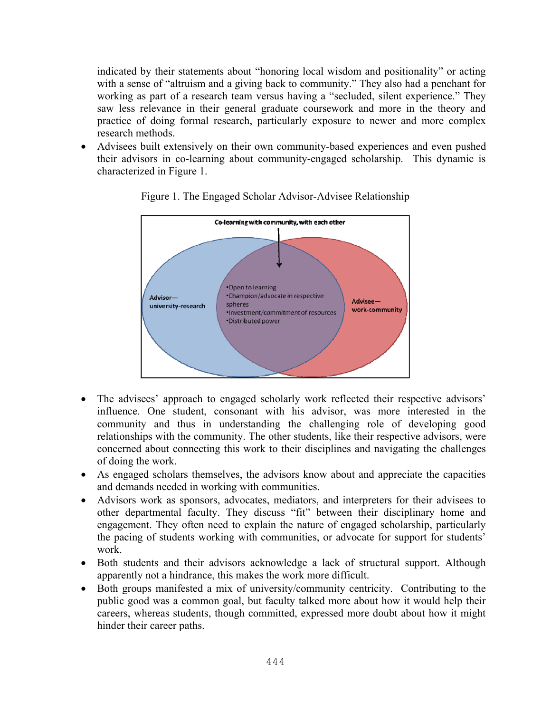indicated by their statements about "honoring local wisdom and positionality" or acting with a sense of "altruism and a giving back to community." They also had a penchant for working as part of a research team versus having a "secluded, silent experience." They saw less relevance in their general graduate coursework and more in the theory and practice of doing formal research, particularly exposure to newer and more complex research methods.

! Advisees built extensively on their own community-based experiences and even pushed their advisors in co-learning about community-engaged scholarship. This dynamic is characterized in Figure 1.



Figure 1. The Engaged Scholar Advisor-Advisee Relationship

- The advisees' approach to engaged scholarly work reflected their respective advisors' influence. One student, consonant with his advisor, was more interested in the community and thus in understanding the challenging role of developing good relationships with the community. The other students, like their respective advisors, were concerned about connecting this work to their disciplines and navigating the challenges of doing the work.
- ! As engaged scholars themselves, the advisors know about and appreciate the capacities and demands needed in working with communities.
- ! Advisors work as sponsors, advocates, mediators, and interpreters for their advisees to other departmental faculty. They discuss "fit" between their disciplinary home and engagement. They often need to explain the nature of engaged scholarship, particularly the pacing of students working with communities, or advocate for support for students' work.
- ! Both students and their advisors acknowledge a lack of structural support. Although apparently not a hindrance, this makes the work more difficult.
- ! Both groups manifested a mix of university/community centricity. Contributing to the public good was a common goal, but faculty talked more about how it would help their careers, whereas students, though committed, expressed more doubt about how it might hinder their career paths.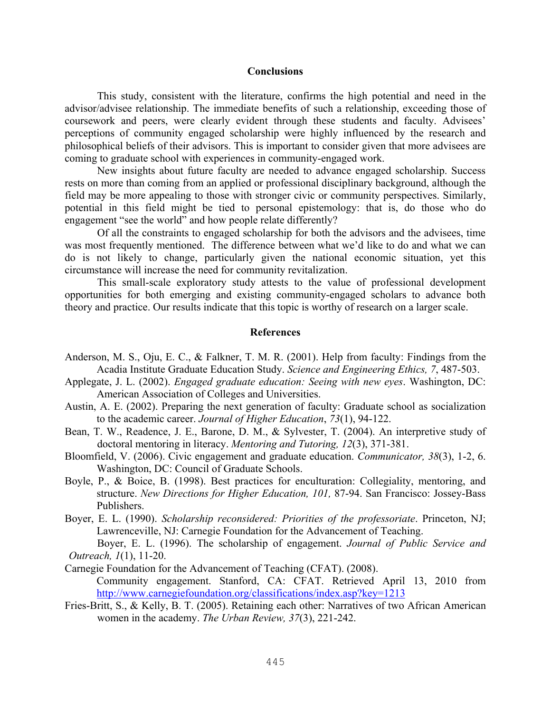## **Conclusions**

This study, consistent with the literature, confirms the high potential and need in the advisor/advisee relationship. The immediate benefits of such a relationship, exceeding those of coursework and peers, were clearly evident through these students and faculty. Advisees' perceptions of community engaged scholarship were highly influenced by the research and philosophical beliefs of their advisors. This is important to consider given that more advisees are coming to graduate school with experiences in community-engaged work.

New insights about future faculty are needed to advance engaged scholarship. Success rests on more than coming from an applied or professional disciplinary background, although the field may be more appealing to those with stronger civic or community perspectives. Similarly, potential in this field might be tied to personal epistemology: that is, do those who do engagement "see the world" and how people relate differently?

Of all the constraints to engaged scholarship for both the advisors and the advisees, time was most frequently mentioned. The difference between what we'd like to do and what we can do is not likely to change, particularly given the national economic situation, yet this circumstance will increase the need for community revitalization.

This small-scale exploratory study attests to the value of professional development opportunities for both emerging and existing community-engaged scholars to advance both theory and practice. Our results indicate that this topic is worthy of research on a larger scale.

# **References**

- Anderson, M. S., Oju, E. C., & Falkner, T. M. R. (2001). Help from faculty: Findings from the Acadia Institute Graduate Education Study. *Science and Engineering Ethics, 7*, 487-503.
- Applegate, J. L. (2002). *Engaged graduate education: Seeing with new eyes*. Washington, DC: American Association of Colleges and Universities.
- Austin, A. E. (2002). Preparing the next generation of faculty: Graduate school as socialization to the academic career. *Journal of Higher Education*, *73*(1), 94-122.
- Bean, T. W., Readence, J. E., Barone, D. M., & Sylvester, T. (2004). An interpretive study of doctoral mentoring in literacy. *Mentoring and Tutoring, 12*(3), 371-381.
- Bloomfield, V. (2006). Civic engagement and graduate education. *Communicator, 38*(3), 1-2, 6. Washington, DC: Council of Graduate Schools.
- Boyle, P., & Boice, B. (1998). Best practices for enculturation: Collegiality, mentoring, and structure. *New Directions for Higher Education, 101,* 87-94. San Francisco: Jossey-Bass Publishers.
- Boyer, E. L. (1990). *Scholarship reconsidered: Priorities of the professoriate*. Princeton, NJ; Lawrenceville, NJ: Carnegie Foundation for the Advancement of Teaching. Boyer, E. L. (1996). The scholarship of engagement. *Journal of Public Service and*

*Outreach, 1*(1), 11-20.

- Carnegie Foundation for the Advancement of Teaching (CFAT). (2008). Community engagement. Stanford, CA: CFAT. Retrieved April 13, 2010 from http://www.carnegiefoundation.org/classifications/index.asp?key=1213
- Fries-Britt, S., & Kelly, B. T. (2005). Retaining each other: Narratives of two African American women in the academy. *The Urban Review, 37*(3), 221-242.